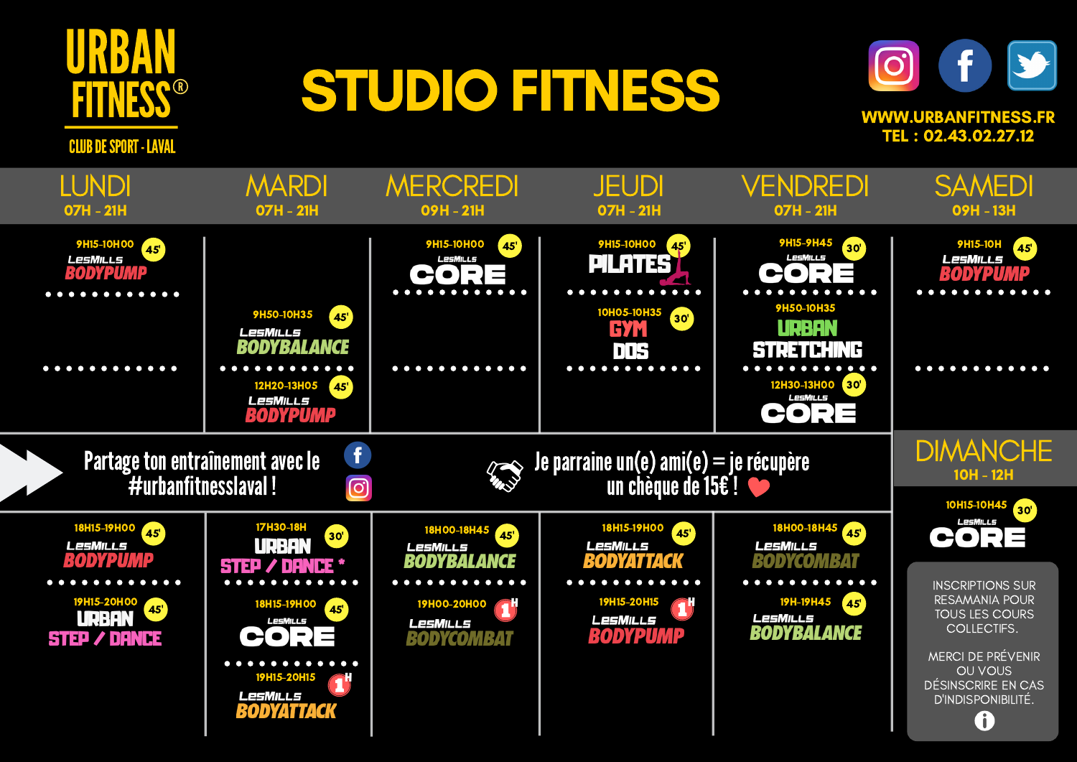

## STUDIO FITNESS



**CLUB DE SPORT - LAVAL** 

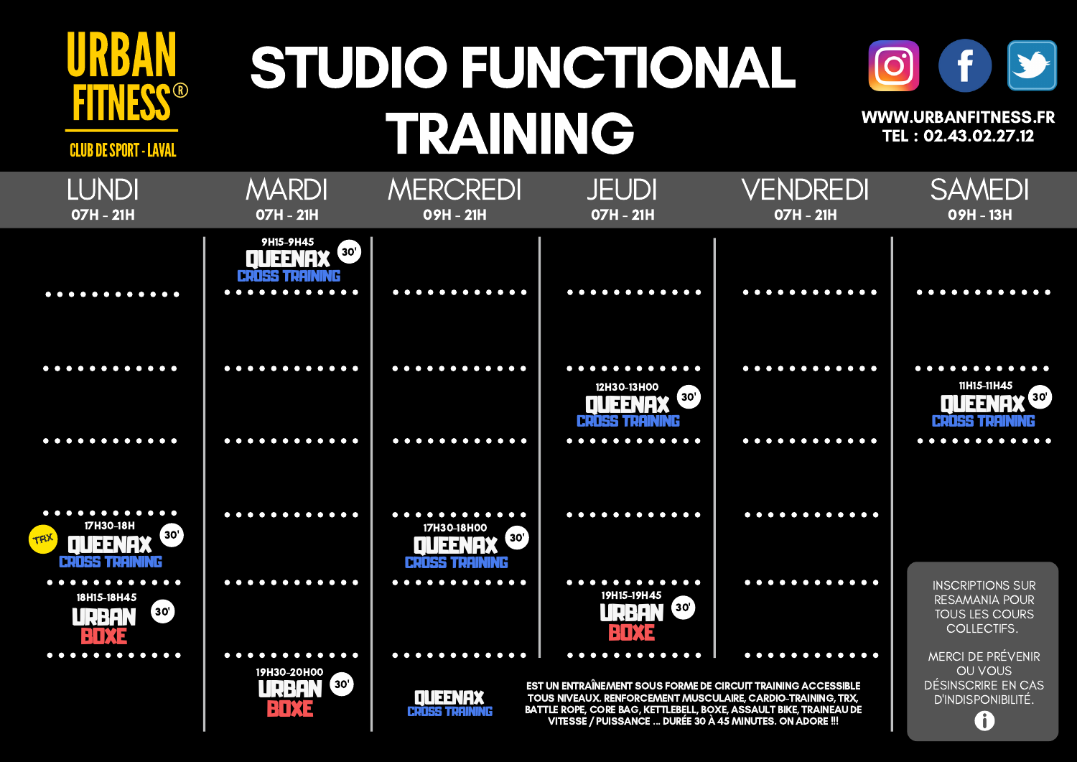

## STUDIO FUNCTIONAL TRAINING



WWW.URBANFITNESS.FR TEL : 02.43.02.27.12

CLUB DE SPORT - LAVAL